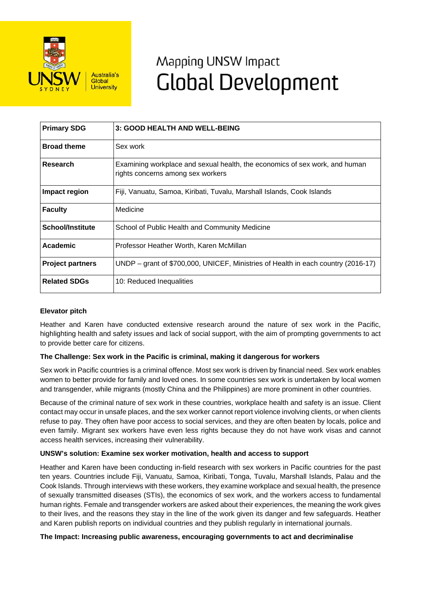

# Mapping UNSW Impact **Global Development**

| <b>Primary SDG</b>      | 3: GOOD HEALTH AND WELL-BEING                                                                                    |
|-------------------------|------------------------------------------------------------------------------------------------------------------|
| <b>Broad theme</b>      | Sex work                                                                                                         |
| Research                | Examining workplace and sexual health, the economics of sex work, and human<br>rights concerns among sex workers |
| Impact region           | Fiji, Vanuatu, Samoa, Kiribati, Tuvalu, Marshall Islands, Cook Islands                                           |
| <b>Faculty</b>          | Medicine                                                                                                         |
| <b>School/Institute</b> | School of Public Health and Community Medicine                                                                   |
| Academic                | Professor Heather Worth, Karen McMillan                                                                          |
| <b>Project partners</b> | UNDP - grant of \$700,000, UNICEF, Ministries of Health in each country (2016-17)                                |
| <b>Related SDGs</b>     | 10: Reduced Inequalities                                                                                         |

## **Elevator pitch**

Heather and Karen have conducted extensive research around the nature of sex work in the Pacific, highlighting health and safety issues and lack of social support, with the aim of prompting governments to act to provide better care for citizens.

## **The Challenge: Sex work in the Pacific is criminal, making it dangerous for workers**

Sex work in Pacific countries is a criminal offence. Most sex work is driven by financial need. Sex work enables women to better provide for family and loved ones. In some countries sex work is undertaken by local women and transgender, while migrants (mostly China and the Philippines) are more prominent in other countries.

Because of the criminal nature of sex work in these countries, workplace health and safety is an issue. Client contact may occur in unsafe places, and the sex worker cannot report violence involving clients, or when clients refuse to pay. They often have poor access to social services, and they are often beaten by locals, police and even family. Migrant sex workers have even less rights because they do not have work visas and cannot access health services, increasing their vulnerability.

## **UNSW's solution: Examine sex worker motivation, health and access to support**

Heather and Karen have been conducting in-field research with sex workers in Pacific countries for the past ten years. Countries include Fiji, Vanuatu, Samoa, Kiribati, Tonga, Tuvalu, Marshall Islands, Palau and the Cook Islands. Through interviews with these workers, they examine workplace and sexual health, the presence of sexually transmitted diseases (STIs), the economics of sex work, and the workers access to fundamental human rights. Female and transgender workers are asked about their experiences, the meaning the work gives to their lives, and the reasons they stay in the line of the work given its danger and few safeguards. Heather and Karen publish reports on individual countries and they publish regularly in international journals.

#### **The Impact: Increasing public awareness, encouraging governments to act and decriminalise**